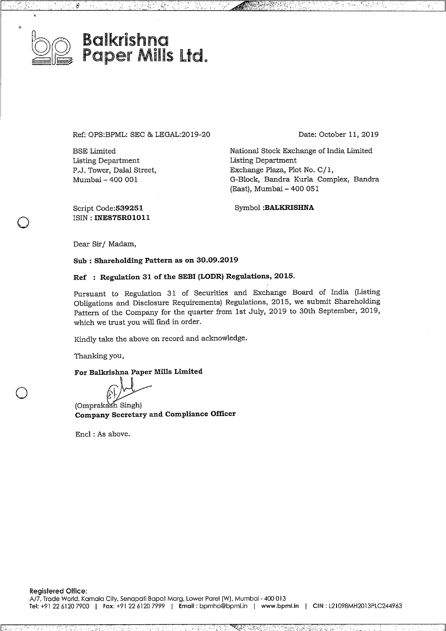

 $\bigcirc$ 

 $\bigcirc$ 

# Ba!krishna Paper Mills Ltd.

Ref: OPS:BPML: SEC & LEGAL:2019-20

BSE Limited Listing Department P.J. Tower, Dalal Street, Mumbai- <sup>400</sup> 001

Date: October 11, 2019

t i skufilovi i

National Stock Exchange of India Limited Listing Department Exchange Plaza, Plot No. C/ 1, G-Block, Bandra Kurla Complex, Bandra (East), Mumbai-400 <sup>051</sup>

> t. oho ±sass

Script Code:539251 ISIN : **INE875R01011** Symbol **:BALKRISHNA**

Dear Sir/ Madam,

**Sub : Shareholding Patternas on 30.09.2019**

### **Ref : Regulation 31 ofthe SEBI (LODR) Regulations, 2015.**

Pursuant to Regulation <sup>31</sup> of Securities and Exchange Board of India (Listing Obligations and Disclosure Requirements) Regulations, 2015, we submit Shareholding Pattern of the Company for the quarter from 1st July, 2019 to 30th September, 2019, which we trust you will find in order.

Kindly take the above on record and acknowledge.

Thanking you,

For Balkrishna Paper Mills Limited

For Bankishina I aper mins amined<br>
(Omprakash Singh)<br> **Company Secretary and Compliance Officer** 

Encl : As above.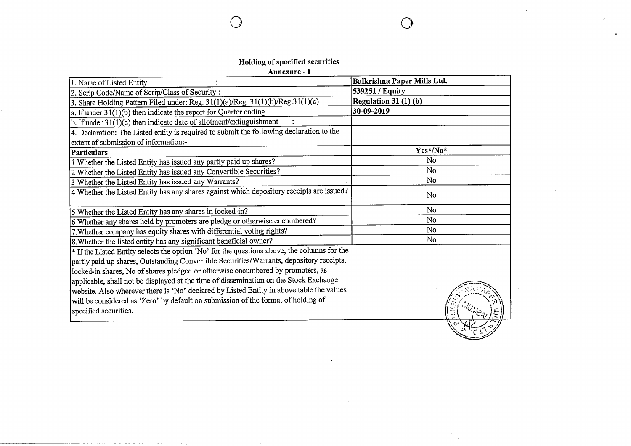## **Holding ofspecified securities**

 $\bigcap$ 

 $\sim 10^{-1}$ 

 $\bigcirc$ 

**Annexure- <sup>I</sup>**

| 1. Name of Listed Entity                                                                    | Balkrishna Paper Mills Ltd. |
|---------------------------------------------------------------------------------------------|-----------------------------|
| 2. Scrip Code/Name of Scrip/Class of Security:                                              | 539251 / Equity             |
| 3. Share Holding Pattern Filed under: Reg. $31(1)(a)/Reg.$ $31(1)(b)/Reg.$ $31(1)(c)$       | Regulation $31(1)(b)$       |
| $ a$ . If under 31(1)(b) then indicate the report for Quarter ending                        | 30-09-2019                  |
| b. If under 31(1)(c) then indicate date of allotment/extinguishment                         |                             |
| 4. Declaration: The Listed entity is required to submit the following declaration to the    |                             |
| extent of submission of information:-                                                       |                             |
| Particulars                                                                                 | Yes*/No*                    |
| 1 Whether the Listed Entity has issued any partly paid up shares?                           | No                          |
| 2 Whether the Listed Entity has issued any Convertible Securities?                          | No                          |
| 3 Whether the Listed Entity has issued any Warrants?                                        | No                          |
| 4 Whether the Listed Entity has any shares against which depository receipts are issued?    | No                          |
| 5 Whether the Listed Entity has any shares in locked-in?                                    | No                          |
| 6 Whether any shares held by promoters are pledge or otherwise encumbered?                  | No                          |
| 7. Whether company has equity shares with differential voting rights?                       | No                          |
| 8. Whether the listed entity has any significant beneficial owner?                          | No                          |
| * If the Listed Entity selects the option 'No' for the questions above, the columns for the |                             |
| partly paid up shares, Outstanding Convertible Securities/Warrants, depository receipts,    |                             |
| locked-in shares, No of shares pledged or otherwise encumbered by promoters, as             |                             |
| applicable, shall not be displayed at the time of dissemination on the Stock Exchange       |                             |
| website. Also wherever there is 'No' declared by Listed Entity in above table the values    |                             |
| will be considered as 'Zero' by default on submission of the format of holding of           |                             |
| specified securities.                                                                       |                             |
|                                                                                             |                             |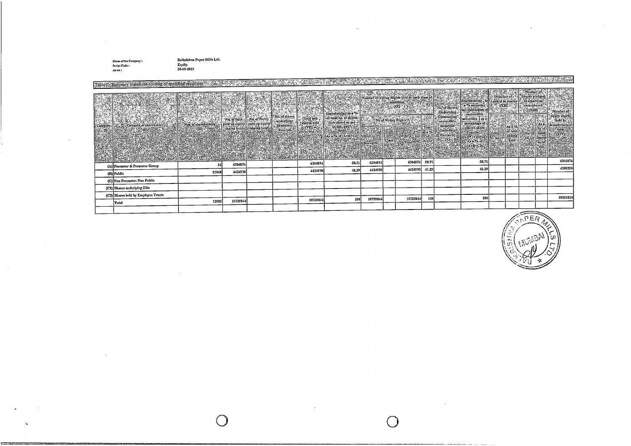Name of the Company :<br>Serint Code :<br>As on :

e

Balkrishna Paper Mills Ltd.<br>Equity<br>30-09-2019

 $\bigcirc$ 

|                                                                                                             |       |          |  |          | <u> TERRET ELEKTROLOGIA DE ELEKTROLOGIA ELEKTROLOGIA ELEKTROLOGIA ELEKTROLOGIA ELEKTROLOGIA ELEKTROLOGIA ELEKTROL</u> |          |          |       |        |  |  |          |
|-------------------------------------------------------------------------------------------------------------|-------|----------|--|----------|-----------------------------------------------------------------------------------------------------------------------|----------|----------|-------|--------|--|--|----------|
| Table 1-Summary Statement holding of specified securities was stated to the contract of the contract of the |       |          |  |          |                                                                                                                       |          |          |       |        |  |  |          |
|                                                                                                             |       |          |  |          |                                                                                                                       |          |          |       |        |  |  |          |
| (A) Promoter & Promoter Group                                                                               | 34    | 6304874  |  | 6304874  | 58.71                                                                                                                 | 6304874  | 6304874  | 58.71 | 58.71  |  |  |          |
| (B) Public                                                                                                  | 12048 | 4434970  |  | 4434970  | 41.29                                                                                                                 | 4434970  | 4434970  | 41.29 | -11.29 |  |  | 4288250  |
| (C) Non Promoter-Non Public                                                                                 |       |          |  |          |                                                                                                                       |          |          |       |        |  |  |          |
| (C1) Shares underlying DRs                                                                                  |       |          |  |          |                                                                                                                       |          |          |       |        |  |  |          |
|                                                                                                             |       |          |  |          |                                                                                                                       |          |          |       |        |  |  |          |
| (C2) Shares held by Employee Trusts                                                                         | 12032 | 10739844 |  | 10739844 | 100                                                                                                                   | 10739844 | 10739844 | 100   | 100    |  |  | 10593124 |
| Total                                                                                                       |       |          |  |          |                                                                                                                       |          |          |       |        |  |  |          |
|                                                                                                             |       |          |  |          |                                                                                                                       |          |          |       |        |  |  |          |

 $\bigcirc$ 

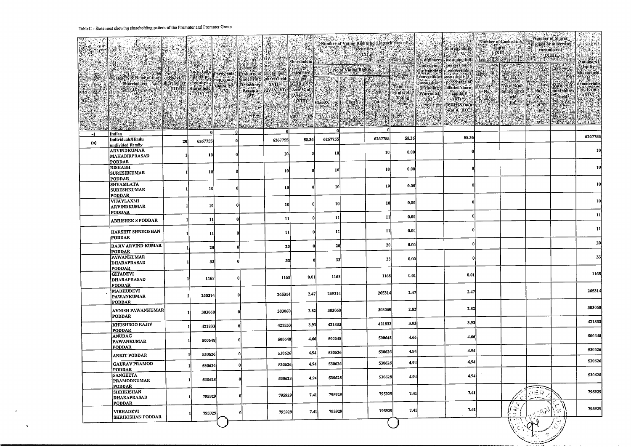#### **Table** II - **Statement showing shareholding pattern ofthe Promoter and Promoter Group**

 $\bullet$ 

 $\alpha$ 

| $-1$ | Indian                                               |    | ΩI              | n        |         |       |         | 6267755 | 58.36 | 58.36 |                                      |                |     | 6267755         |
|------|------------------------------------------------------|----|-----------------|----------|---------|-------|---------|---------|-------|-------|--------------------------------------|----------------|-----|-----------------|
| (a)  | Individuals/Hindu<br>undivided Family<br>ARVINDKUMAR | 20 | 6267755         |          | 6267755 | 58.36 | 6267755 |         |       |       |                                      |                |     | 10              |
|      | MAHABIRPRASAD<br><b>PODDAR</b>                       |    | 10              |          | 10      |       | 10      | 10l     | 0.00  |       |                                      |                |     |                 |
|      | <b>RISHABH</b><br><b>SURESHKUMAR</b>                 |    | 10              | $\Omega$ | 10      |       | 10      | 10      | 0.001 |       |                                      |                |     | <b>10</b>       |
|      | <b>PODDAR</b><br>SHYAMLATA<br><b>SURESHKUMAR</b>     |    | 10              |          | 10      |       | 10      | 10      | 0.00  |       |                                      |                |     | 10 <sup>1</sup> |
|      | PODDAR<br>VIJAYLAXMI                                 |    |                 |          |         |       |         | 10      | 0.00  |       |                                      |                |     | 10              |
|      | <b>ARVINDKUMAR</b><br>PODDAR                         |    | 10              | -01      | 10      |       | -10     |         |       |       |                                      |                |     | 11              |
|      | <b>ABHISHEK S PODDAR</b>                             |    | 11 <sup>1</sup> | $\bf{0}$ | 11      |       | 11      | 11      | 0.00  |       |                                      |                |     |                 |
|      | HARSHIT SHRIKISHAN<br>PODDAR                         |    | 11              |          | -11     |       | 11      | 11      | 0,00  |       |                                      |                |     | 11              |
|      | <b>RAJIV ARVIND KUMAR</b><br><b>PODDAR</b>           |    | 20              |          | 20      |       | 20      | 20      | 0.00  |       |                                      |                |     | 20              |
|      | <b>PAWANKUMAR</b><br><b>DHARAPRASAD</b><br>PODDAR    |    | 33              |          | 33      |       | 33      | 33      | 0.00  |       |                                      |                |     | 33              |
|      | <b>GITADEVI</b><br>DHARAPRASAD<br>PODDAR             |    | 1168            |          | 1168    | 0.01  | 1168    | 1168    | 0.01  | 0.01  |                                      |                |     | 1168            |
|      | <b>MADHUDEVI</b><br>PAWANKUMAR<br><b>PODDAR</b>      |    | 265314          |          | 265314  | 2.47  | 265314  | 265314  | 2.47  | 2.47  |                                      |                |     | 265314          |
|      | AVNISH PAWANKUMAR<br><b>PODDAR</b>                   |    | 303060          |          | 303060  | 2,82  | 303060  | 303060  | 2.82  | 2.82  |                                      |                |     | 303060          |
|      | <b>KHUSHBOO RAJIV</b><br><b>PODDAR</b>               |    | 421833          |          | 421833  | 3.93  | 421833  | 421833  | 3.93  | 3.93  |                                      |                |     | 421833          |
|      | <b>ANURAG</b><br><b>PAWANKUMAR</b><br><b>PODDAR</b>  |    | 500648          |          | 500648  | 4.66  | 500648  | 500648  | 4.66  | 4.66  |                                      |                |     | 500648          |
|      | <b>ANKIT PODDAR</b>                                  |    | 530626          |          | 530626  | 4.94  | 530626  | 530626  | 4.94  | 4.94  |                                      |                |     | 530626          |
|      | GAURAV PRAMOD<br><b>PODDAR</b>                       |    | 530626          |          | 530626  | 4.94  | 530626  | 530626  | 4.94  | 4,94  |                                      |                |     | 530626          |
|      | <b>SANGEETA</b><br><b>PRAMODKUMAR</b><br>PODDAR      |    | 530628          |          | 530628  | 4.94  | 530628  | 530628  | 4.94  | 4.94  |                                      |                |     | 530628          |
|      | SHRIKISHAN<br><b>DHARAPRASAD</b><br><b>PODDAR</b>    |    | 795929          |          | 795929  | 7.41  | 795929  | 795929  | 7.41  | 7.41  |                                      | 9ER.           |     | 795929          |
|      | <b>VIBHADEVI</b><br><b>SHRIKISHAN PODDAR</b>         |    | 795929          |          | 795929  | 7.41  | 795929  | 795929  | 7.41  | 7.41  | $\overline{\mathbb{Z}}$<br>$-r$<br>ು | $\cdot$ 3 $\%$ | Ĵу. | 795929          |
|      |                                                      |    |                 |          |         |       |         |         |       |       |                                      |                |     |                 |

 $\overline{ }$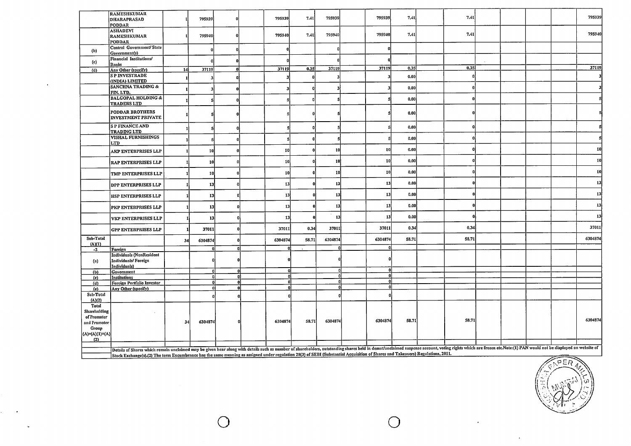|                       | <b>RAMESHKUMAR</b>                                                                                                                                                                                                             |                |              |              |          |       |         |              |       |              |  |               |         |
|-----------------------|--------------------------------------------------------------------------------------------------------------------------------------------------------------------------------------------------------------------------------|----------------|--------------|--------------|----------|-------|---------|--------------|-------|--------------|--|---------------|---------|
|                       | <b>DHARAPRASAD</b>                                                                                                                                                                                                             |                | 795939       |              | 795939   | 7.41  | 795939  | 795939       | 7,41  | 7.41         |  |               | 795939  |
|                       | <b>PODDAR</b><br><b>ASHADEVI</b>                                                                                                                                                                                               |                |              |              |          |       |         |              |       |              |  |               |         |
|                       | <b>RAMESHKUMAR</b><br><b>PODDAR</b>                                                                                                                                                                                            |                | 795940       | 0            | 795940   | 7.41  | 795940  | 795940       | 7.41  | 7.41         |  |               | 795940  |
| (b)                   | Central Government/State<br>Government(s)                                                                                                                                                                                      |                |              |              |          |       |         |              |       |              |  |               |         |
| (c)                   | Financial Institutions/<br>Banks                                                                                                                                                                                               |                |              |              |          |       |         |              |       |              |  |               |         |
| (d)                   | Any Other (specify)                                                                                                                                                                                                            | 14             | 37119        | $\mathbf{0}$ | 37119    | 0.35  | 37119   | 37119        | 0.35  | 0,35         |  |               | 37119   |
|                       | <b>SPINVESTRADE</b><br>(INDIA) LIMITED                                                                                                                                                                                         |                |              |              |          |       |         | 3            | 0.00  |              |  |               |         |
|                       | <b>SANCHNA TRADING &amp;</b><br>FIN. LTD.                                                                                                                                                                                      |                |              |              |          |       |         |              | 0.00  | 0            |  |               |         |
|                       | <b>BALGOPAL HOLDING &amp;</b><br><b>TRADERS LTD</b>                                                                                                                                                                            |                |              |              |          |       |         |              | 0.00  | $\mathbf 0$  |  |               |         |
|                       | PODDAR BROTHERS<br><b>INVESTMENT PRIVATE</b>                                                                                                                                                                                   |                |              |              |          |       |         |              | 0.00  | 0            |  |               |         |
|                       | <b>SP FINANCE AND</b><br><b>TRADING LTD</b>                                                                                                                                                                                    |                |              |              |          |       |         | $\mathbf{5}$ | 0.00  | $\bf{0}$     |  |               |         |
|                       | VISHAL FURNISHINGS<br><b>LTD</b>                                                                                                                                                                                               |                |              |              |          |       |         | 5            | 0.00  |              |  |               |         |
|                       | <b>AKP ENTERPRISES LLP</b>                                                                                                                                                                                                     |                | 10           |              | 10       |       | 10      | 10           | 0.00  | $\mathbf 0$  |  |               | 10      |
|                       | <b>RAP ENTERPRISES LLP</b>                                                                                                                                                                                                     |                | 10           |              | 10       |       | 10      | 10           | 0,00  | $\Omega$     |  |               | 10      |
|                       | TMP ENTERPRISES LLP                                                                                                                                                                                                            |                | 10           |              | 10       |       | 10      | 10           | 0.00  | 0            |  |               | 10      |
|                       | <b>DPP ENTERPRISES LLP</b>                                                                                                                                                                                                     |                | 13           | $\Omega$     | 13       |       | 13      | 13           | 0.00  |              |  |               | 13      |
|                       | <b>HSP ENTERPRISES LLP</b>                                                                                                                                                                                                     |                | 13           | 0            | 13       |       | 13      | 13           | 0.00  |              |  |               | 13      |
|                       | PKP ENTERPRISES LLP                                                                                                                                                                                                            |                | 13           | $\mathbf 0$  | 13       |       | 13      | 13           | 0.00  | $\mathbf{0}$ |  |               | 13      |
|                       | <b>VKP ENTERPRISES LLP</b>                                                                                                                                                                                                     |                | 13           | 0            | 13       |       | 13      | 13           | 0.00  | - Ol         |  |               | 13      |
|                       | <b>GPP ENTERPRISES LLP</b>                                                                                                                                                                                                     |                | 37011        | $\mathbf 0$  | 37011    | 0.34  | 37011   | 37011        | 0.34  | 0.34         |  |               | 37011   |
| Sub-Total<br>(A)(1)   |                                                                                                                                                                                                                                | 34             | 6304874      | $\mathbf{0}$ | 6304874  | 58.71 | 6304874 | 6304874      | 58.71 | 58.71        |  |               | 6304874 |
| $-2$                  | Foreign                                                                                                                                                                                                                        |                |              | n'           |          |       |         | $\Omega$     |       |              |  |               |         |
| (a)                   | <b>Individuals (NonResident</b><br>Individuals/Foreign                                                                                                                                                                         |                |              |              |          |       |         |              |       |              |  |               |         |
|                       | Individuals)<br>Government                                                                                                                                                                                                     |                | $\Omega$     | n            | $\Omega$ |       |         | $\mathbf{0}$ |       |              |  |               |         |
| (b)<br>(c)            | Institutions                                                                                                                                                                                                                   |                | $\mathbf{a}$ | $\mathbf{a}$ | 0.       |       |         | n            |       |              |  |               |         |
| (d)                   | Foreign Portfolio Investor                                                                                                                                                                                                     |                |              |              |          |       |         | $\Omega$     |       |              |  |               |         |
| $\left($ e $\right)$  | Any Other (specify)                                                                                                                                                                                                            |                | 0Ì           | 0            |          |       |         |              |       |              |  |               |         |
| Sub-Total<br>(A)(2)   |                                                                                                                                                                                                                                |                |              |              |          |       |         |              |       |              |  |               |         |
| Total                 |                                                                                                                                                                                                                                |                |              |              |          |       |         |              |       |              |  |               |         |
| Shareholding          |                                                                                                                                                                                                                                |                |              |              |          |       |         |              |       |              |  |               |         |
| of Promoter           |                                                                                                                                                                                                                                | 3 <sub>4</sub> | 6304874      |              | 6304874  | 58.71 | 6304874 | 6304874      | 58.71 | 58.71        |  |               | 6304874 |
| and Promoter<br>Group |                                                                                                                                                                                                                                |                |              |              |          |       |         |              |       |              |  |               |         |
| (A)=(A)(1)+(A)        |                                                                                                                                                                                                                                |                |              |              |          |       |         |              |       |              |  |               |         |
| (2)                   |                                                                                                                                                                                                                                |                |              |              |          |       |         |              |       |              |  |               |         |
|                       |                                                                                                                                                                                                                                |                |              |              |          |       |         |              |       |              |  |               |         |
|                       | Details of Shares which remain unclaimed may be given hear along with details such as number of shareholders, outstanding shares held in demat/unclaimed suspense account, voting rights which are frozen etc. Note:(1) PAN wo |                |              |              |          |       |         |              |       |              |  |               |         |
|                       | Stock Exchange(s).(2) The term Encumbrance has the same meaning as assigned under regulation 28(3) of SEBI (Substantial Acquisition of Shares and Takeovers) Regulations, 2011.                                                |                |              |              |          |       |         |              |       |              |  | <del>アニ</del> |         |

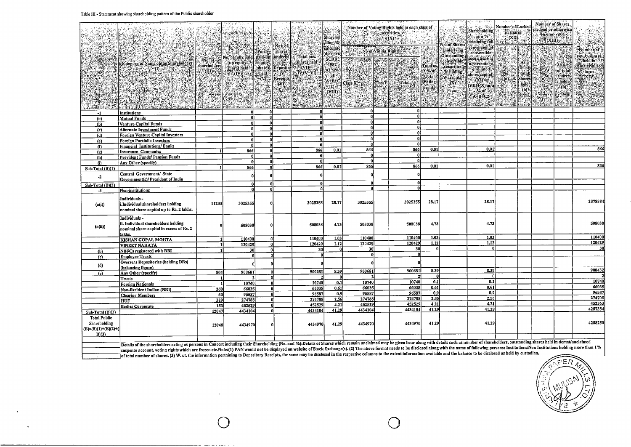#### **Table III - Statementshowingshareholding patter ofthe Public shareholder**

|                                                                      |                                                                                                                                                                                                                                |                           |                                                                                           | <b>ICA</b>                        | e an<br>Fra                                      | i ya kat                                                       | Sharehol <sup>1</sup><br>ding %                                    |                       | Nimber of Voting Rights held in each class of                      |                                        | No. of Shares                                                            | workful<br>Shareholding<br>$$ as a $%$ .<br>assuming full                                                                                                                                                                                                                                                                                                                                                                                         | Number of Locke<br>in shares<br>$(X, 0)$ . |                             | Number of Shares<br>pledged or otherwise<br>"encumbered"<br>$\frac{1}{2}$ $\frac{1}{2}$ $\frac{1}{2}$ $\frac{1}{2}$ $\frac{1}{2}$ $\frac{1}{2}$ $\frac{1}{2}$ $\frac{1}{2}$ $\frac{1}{2}$ $\frac{1}{2}$ |                                                       | <b>ARK</b>                                                                                                |
|----------------------------------------------------------------------|--------------------------------------------------------------------------------------------------------------------------------------------------------------------------------------------------------------------------------|---------------------------|-------------------------------------------------------------------------------------------|-----------------------------------|--------------------------------------------------|----------------------------------------------------------------|--------------------------------------------------------------------|-----------------------|--------------------------------------------------------------------|----------------------------------------|--------------------------------------------------------------------------|---------------------------------------------------------------------------------------------------------------------------------------------------------------------------------------------------------------------------------------------------------------------------------------------------------------------------------------------------------------------------------------------------------------------------------------------------|--------------------------------------------|-----------------------------|---------------------------------------------------------------------------------------------------------------------------------------------------------------------------------------------------------|-------------------------------------------------------|-----------------------------------------------------------------------------------------------------------|
|                                                                      | Category & Name of the Shareholders                                                                                                                                                                                            | Mo.of Act<br>shareholder. | No. of fully paid paid dip   underlyi  <br><b>Sup equityment</b><br>Shares held(c) shares | Partly shares<br>  Tequity        | : Nos. of i<br><b>ESTERNI</b><br>Deposito        | <b>Taly</b><br>t. Total nos.<br>shares held<br>$x = 0$ $N11 =$ | <b>Calculate</b><br>dias per-<br><b>SCRR</b><br>$-1957.$<br>As a % |                       | <b>The Neof</b> Voling Rights <b>Committee Committee Committee</b> | $\mu_{\rm{F}}$<br>Total as,<br>ia %'of | - Underlying<br>Outstanding<br>convertible.<br>securities<br>(including) | conversion of<br>convertible<br>securities (ns)<br>a percentage<br>of dilitied                                                                                                                                                                                                                                                                                                                                                                    | 19 5                                       | $\sum_{i=1}^{n}$<br>$\%$ of |                                                                                                                                                                                                         | vie<br>As a %<br><b>liof</b> total                    | Number of:<br>equity shares<br><b><i><u>Exhelding</u></i></b><br>dematerialized<br>$\delta$ form $\delta$ |
|                                                                      | Conteners & Name Office Library<br>(Conteners)<br>The Conteners of Conteners of Conteners of Conteners of Conteners of Conteners<br>The Conteners of Conteners of Conteners of Conteners of Conteners of Conteners<br>         |                           | $\mathbb{Z}^n$ avisons<br><b>ASHAMAR</b>                                                  | held <sup>*</sup><br>ିଠେ<br>45.67 | nery el<br>Receipts<br>$\mathbb{C}^{\mathbf{D}}$ | $IV+V+VD$                                                      | 14009<br>(A+B+C<br>(2)<br>\(VIII)                                  |                       |                                                                    | Voting<br><b>Priglits</b><br>e e       | Total Warrants)<br>ුලා හ<br>era (194<br>经通                               | share capital)<br>$\begin{array}{lcl} \hline \text{GCD} & \text{GSD} & \text{Sline} & \text{O} \\ \hline \text{OCD} & \text{S} & \text{O} & \text{Sline} \\ \text{OCD} & \text{S} & \text{O} & \text{O} \\ \text{OCD} & \text{O} & \text{O} & \text{O} \\ \text{O} & \text{O} & \text{O} & \text{O} \end{array}$<br>$\begin{tabular}{ c c c c } \hline $\times$ of & $1$ & $10$ \\ \hline $\times$ A+B:C23 & $10$ & $10$ \\ \hline \end{tabular}$ | No.7                                       | total                       | $\blacksquare$ No. $\blacksquare$                                                                                                                                                                       | shares<br>held<br>់(b) ិ<br>$\langle \hat{H} \rangle$ | (XIV) (21)                                                                                                |
| $+11.46/1$                                                           |                                                                                                                                                                                                                                |                           | Par lander has<br>ΩI                                                                      | -ol                               |                                                  | $\Omega$                                                       |                                                                    | <b>Similar at</b>     |                                                                    |                                        |                                                                          |                                                                                                                                                                                                                                                                                                                                                                                                                                                   |                                            |                             |                                                                                                                                                                                                         |                                                       |                                                                                                           |
| $-1$<br>(a)                                                          | Institutions<br>Mutual Funds                                                                                                                                                                                                   |                           | ۵I                                                                                        | -ol                               |                                                  | $\mathbf{0}$                                                   |                                                                    | <b>n</b>              | 0                                                                  |                                        |                                                                          |                                                                                                                                                                                                                                                                                                                                                                                                                                                   |                                            |                             |                                                                                                                                                                                                         |                                                       |                                                                                                           |
| (Ъ)                                                                  | <b>Venture Capital Funds</b>                                                                                                                                                                                                   |                           | ol                                                                                        | $\overline{\mathbf{0}}$           |                                                  | ۵l                                                             |                                                                    | ΩI                    | `ol                                                                |                                        |                                                                          |                                                                                                                                                                                                                                                                                                                                                                                                                                                   |                                            |                             |                                                                                                                                                                                                         |                                                       |                                                                                                           |
| (c)                                                                  | Alternate Investment Funds                                                                                                                                                                                                     |                           | ٥I                                                                                        | $\mathbf 0$                       |                                                  | οl<br>۵I                                                       |                                                                    | <b>n</b>              | -ol<br>٥l                                                          |                                        |                                                                          |                                                                                                                                                                                                                                                                                                                                                                                                                                                   |                                            |                             |                                                                                                                                                                                                         |                                                       |                                                                                                           |
| (d)                                                                  | <b>Foreign Venture Capital Investors</b>                                                                                                                                                                                       |                           | ΩI<br>٨l                                                                                  | -01<br>n'                         |                                                  | 0                                                              |                                                                    | ΩI                    | ol                                                                 |                                        |                                                                          |                                                                                                                                                                                                                                                                                                                                                                                                                                                   |                                            |                             |                                                                                                                                                                                                         |                                                       |                                                                                                           |
| (e)<br>(n)                                                           | <b>Foreign Portfolio Investors</b><br><b>Financial Institutions/Banks</b>                                                                                                                                                      |                           | ۵I                                                                                        | 0                                 |                                                  | <sub>0</sub>                                                   |                                                                    |                       | οl                                                                 |                                        |                                                                          |                                                                                                                                                                                                                                                                                                                                                                                                                                                   |                                            |                             |                                                                                                                                                                                                         |                                                       |                                                                                                           |
| $(2)$                                                                | Insurance Companies                                                                                                                                                                                                            |                           | 866                                                                                       | - Ol                              |                                                  | 866                                                            | 0.01                                                               | 866                   | 866                                                                | 0.01                                   |                                                                          | 0.01                                                                                                                                                                                                                                                                                                                                                                                                                                              |                                            |                             |                                                                                                                                                                                                         |                                                       | 866                                                                                                       |
| (h)                                                                  | <b>Provident Funds/ Pension Funds</b>                                                                                                                                                                                          |                           | $\mathbf{0}$                                                                              | $\Omega$                          |                                                  | $\mathbf{a}$                                                   |                                                                    | -OI                   | $\mathbf{0}$<br>$\Omega$                                           |                                        |                                                                          |                                                                                                                                                                                                                                                                                                                                                                                                                                                   |                                            |                             |                                                                                                                                                                                                         |                                                       |                                                                                                           |
| (i)                                                                  | Any Other (specify)                                                                                                                                                                                                            |                           | $\mathbf{0}$<br>866                                                                       | ol<br>.nl                         |                                                  | $\Omega$<br>866                                                | 0.01                                                               | 866                   | 866                                                                | 0.01                                   |                                                                          | 0.01                                                                                                                                                                                                                                                                                                                                                                                                                                              |                                            |                             |                                                                                                                                                                                                         |                                                       | 866                                                                                                       |
| Sub-Total (B)(1)                                                     | Central Government/ State                                                                                                                                                                                                      |                           |                                                                                           |                                   |                                                  |                                                                |                                                                    |                       | n                                                                  |                                        |                                                                          |                                                                                                                                                                                                                                                                                                                                                                                                                                                   |                                            |                             |                                                                                                                                                                                                         |                                                       |                                                                                                           |
| $-2$                                                                 | Government(s)/ President of India                                                                                                                                                                                              |                           |                                                                                           | $\mathbf 0$                       |                                                  |                                                                |                                                                    |                       |                                                                    |                                        |                                                                          |                                                                                                                                                                                                                                                                                                                                                                                                                                                   |                                            |                             |                                                                                                                                                                                                         |                                                       |                                                                                                           |
| Sub-Total (B)(2)                                                     |                                                                                                                                                                                                                                |                           | n                                                                                         | n                                 |                                                  |                                                                |                                                                    | n                     | $\mathbf{0}$<br>$\mathbf{a}$                                       |                                        |                                                                          |                                                                                                                                                                                                                                                                                                                                                                                                                                                   |                                            |                             |                                                                                                                                                                                                         |                                                       |                                                                                                           |
| $-3$                                                                 | Non-institutions                                                                                                                                                                                                               |                           | O                                                                                         |                                   |                                                  |                                                                |                                                                    | 0.                    |                                                                    |                                        |                                                                          |                                                                                                                                                                                                                                                                                                                                                                                                                                                   |                                            |                             |                                                                                                                                                                                                         |                                                       |                                                                                                           |
| (a(i))                                                               | Individuals-<br>i.Individual shareholders holding<br>nominal share capital up to Rs. 2 lakhs.                                                                                                                                  | 11233                     | 3025355                                                                                   |                                   |                                                  | 3025355                                                        | 28.17                                                              | 3025355               | 3025355                                                            | 28.17                                  |                                                                          | 28.17                                                                                                                                                                                                                                                                                                                                                                                                                                             |                                            |                             |                                                                                                                                                                                                         |                                                       | 2878884                                                                                                   |
| (n(ii))                                                              | Individuals-<br>ii. Individual shareholders holding<br>nominal share capital in excess of Rs. 2<br>lakhs.                                                                                                                      |                           | 508038                                                                                    |                                   |                                                  | 508038                                                         | 4.73                                                               | 508038                | 508038                                                             | 4.73                                   |                                                                          | 4.73                                                                                                                                                                                                                                                                                                                                                                                                                                              |                                            |                             |                                                                                                                                                                                                         |                                                       | 508038                                                                                                    |
|                                                                      | <b>KISHAN GOPAL MOHTA</b>                                                                                                                                                                                                      |                           | 110400                                                                                    |                                   |                                                  | 110400                                                         | 1.03                                                               | 110400                | 110400                                                             | 1.03                                   |                                                                          | 1.03                                                                                                                                                                                                                                                                                                                                                                                                                                              |                                            |                             |                                                                                                                                                                                                         |                                                       | 110400                                                                                                    |
|                                                                      | <b>VINEET NAHATA</b>                                                                                                                                                                                                           | $\mathbf{1}$              | 120429                                                                                    | $\mathbf{0}^{\prime}$             |                                                  | 120429                                                         | 1.12                                                               | 120429<br>30l         | 120429<br>30                                                       | 1.12                                   |                                                                          | 1.12                                                                                                                                                                                                                                                                                                                                                                                                                                              |                                            |                             |                                                                                                                                                                                                         |                                                       | 120429<br>-30                                                                                             |
| (b)                                                                  | <b>NBFCs registered with RBI</b>                                                                                                                                                                                               | -11                       | 30<br>$\mathbf{0}$                                                                        | 0<br>$\Omega$                     |                                                  | 30<br>-01                                                      | n                                                                  | -01                   | $\mathbf{0}$                                                       |                                        |                                                                          |                                                                                                                                                                                                                                                                                                                                                                                                                                                   |                                            |                             |                                                                                                                                                                                                         |                                                       |                                                                                                           |
| (c)                                                                  | <b>Employee Trusts</b><br>Overseas Depositories (holding DRs)                                                                                                                                                                  |                           |                                                                                           |                                   |                                                  |                                                                |                                                                    |                       |                                                                    |                                        |                                                                          |                                                                                                                                                                                                                                                                                                                                                                                                                                                   |                                            |                             |                                                                                                                                                                                                         |                                                       |                                                                                                           |
| (d)                                                                  | (balancing figure)                                                                                                                                                                                                             |                           |                                                                                           |                                   |                                                  | $\Omega$                                                       |                                                                    | $\mathbf{0}$          |                                                                    |                                        |                                                                          |                                                                                                                                                                                                                                                                                                                                                                                                                                                   |                                            |                             |                                                                                                                                                                                                         |                                                       |                                                                                                           |
| (e)                                                                  | Any Other (specify)                                                                                                                                                                                                            | 804                       | 900681                                                                                    | 0l                                |                                                  | 900681                                                         | 8.39                                                               | 900681                | 900681                                                             | 8.39<br>-0                             |                                                                          | 8.39                                                                                                                                                                                                                                                                                                                                                                                                                                              |                                            |                             |                                                                                                                                                                                                         |                                                       | 900432                                                                                                    |
|                                                                      | Trusts                                                                                                                                                                                                                         | -1<br>$\mathbf{I}$        | 10740                                                                                     | 0.<br>O                           |                                                  | 10740                                                          | $\mathbf{0}$<br>0.1                                                | $\mathbf{z}$<br>10740 | $\mathbf{z}$<br>10740                                              | 0.1                                    |                                                                          | 0.1                                                                                                                                                                                                                                                                                                                                                                                                                                               |                                            |                             |                                                                                                                                                                                                         |                                                       | 10740                                                                                                     |
|                                                                      | Foreign Nationals<br>Non-Resident Indian (NRI)                                                                                                                                                                                 | 260                       | 66035                                                                                     | $\mathbf{a}$                      |                                                  | 66035                                                          | 0.61                                                               | 66035                 | 66035                                                              | 0.61                                   |                                                                          | 0.61                                                                                                                                                                                                                                                                                                                                                                                                                                              |                                            |                             |                                                                                                                                                                                                         |                                                       | 66035                                                                                                     |
|                                                                      | <b>Clearing Members</b>                                                                                                                                                                                                        | 60                        | 96587                                                                                     | $\mathbf{a}$                      |                                                  | 96587                                                          | $\overline{0.9}$                                                   | 96587                 | 96587                                                              | 0.9                                    |                                                                          | 0.9                                                                                                                                                                                                                                                                                                                                                                                                                                               |                                            |                             |                                                                                                                                                                                                         |                                                       | 96587                                                                                                     |
|                                                                      | HUF                                                                                                                                                                                                                            | 329                       | 274788                                                                                    |                                   |                                                  | 274788                                                         | 2.56                                                               | 274788                | 274788                                                             | 2,56                                   |                                                                          | 2.56                                                                                                                                                                                                                                                                                                                                                                                                                                              |                                            |                             |                                                                                                                                                                                                         |                                                       | 274705<br>452363                                                                                          |
|                                                                      | <b>Bodies Corporate</b>                                                                                                                                                                                                        | 153                       | 452529                                                                                    | ΩĹ                                |                                                  | 452529<br>4434104                                              | 4.21<br>41.29                                                      | 452529<br>4434104     | 452529<br>4434104                                                  | 4.21<br>41.29                          |                                                                          | 4.21<br>41.29                                                                                                                                                                                                                                                                                                                                                                                                                                     |                                            |                             |                                                                                                                                                                                                         |                                                       | 4287384                                                                                                   |
| Sub-Total (B)(3)                                                     |                                                                                                                                                                                                                                | 12047                     | 4434104                                                                                   | -nl                               |                                                  |                                                                |                                                                    |                       |                                                                    |                                        |                                                                          |                                                                                                                                                                                                                                                                                                                                                                                                                                                   |                                            |                             |                                                                                                                                                                                                         |                                                       |                                                                                                           |
| <b>Total Public</b><br>Shareholding<br>$(B)=(B)(1)+(B)(2)+($<br>B(3) |                                                                                                                                                                                                                                | 12048                     | 4434970                                                                                   |                                   |                                                  | 4434970                                                        | 41.29                                                              | 4434970               | 4434970                                                            | 41,29                                  |                                                                          | 41.29                                                                                                                                                                                                                                                                                                                                                                                                                                             |                                            |                             |                                                                                                                                                                                                         |                                                       | 4288250                                                                                                   |
|                                                                      | Details of the shareholders acting as persons in Concert including their Shareholding (No. and %):Details of Shares which remain unclaimed may be given hear along with details such as number of shareholders, outstanding sh |                           |                                                                                           |                                   |                                                  |                                                                |                                                                    |                       |                                                                    |                                        |                                                                          |                                                                                                                                                                                                                                                                                                                                                                                                                                                   |                                            |                             |                                                                                                                                                                                                         |                                                       |                                                                                                           |
|                                                                      | suspense account, voting rights which are frozen etc.Note:(1) PAN would not be displayed on website of Stock Exchange(s). (2) The above format needs to be disclosed along with the name of following persons: Institutions/No |                           |                                                                                           |                                   |                                                  |                                                                |                                                                    |                       |                                                                    |                                        |                                                                          |                                                                                                                                                                                                                                                                                                                                                                                                                                                   |                                            |                             |                                                                                                                                                                                                         |                                                       |                                                                                                           |
|                                                                      | of total number of shares. (3) W.r.t. the information pertaining to Depository Receipts, the same may be disclosed in the respective columns to the extent information available and the balance to be disclosed as held by cu |                           |                                                                                           |                                   |                                                  |                                                                |                                                                    |                       |                                                                    |                                        |                                                                          |                                                                                                                                                                                                                                                                                                                                                                                                                                                   |                                            |                             |                                                                                                                                                                                                         |                                                       |                                                                                                           |
|                                                                      |                                                                                                                                                                                                                                |                           |                                                                                           |                                   |                                                  |                                                                |                                                                    |                       |                                                                    |                                        |                                                                          |                                                                                                                                                                                                                                                                                                                                                                                                                                                   |                                            |                             |                                                                                                                                                                                                         | PER                                                   |                                                                                                           |

0

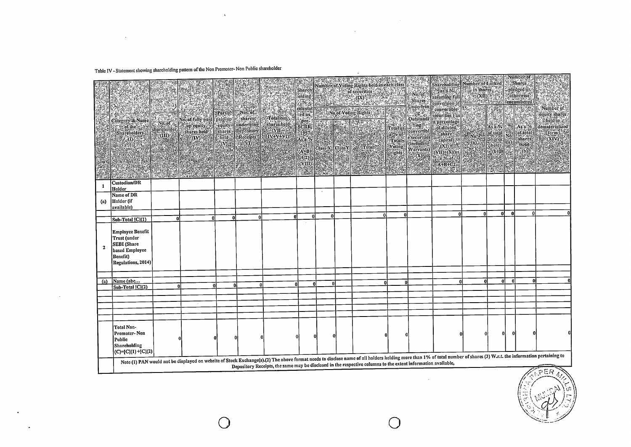## Table IV - Statement showing shareholding pattern of the Non Promoter- Non Public shareholder

 $\sim$ 

 $\sim$ 

 $\bullet$ 

 $\sim$ 

 $\chi$ 

|              | Category & Name<br>$\approx$ $\approx$ of the<br><b>Shareholders</b><br>$\mathbb{H}_n(\mathbf{0})$         | ants.<br>shareholder.<br>$\mathbb{R}$ (iii) $\mathbb{R}$ | ęni<br><b>Savanne Mosof fully paid   paid tip   exhanced</b><br>  Ployed   Ployed   paid   paid tip   exhanced<br>. up equity.<br>$\frac{1}{2}$ shares held | Partly Nos. of<br>cquity<br>shares's<br>held.<br>$\langle (V) \rangle$ | underlying<br>Depository<br>Receipts | *Tōtal nos.<br>shares held-<br>$\mathbb{C}(\text{VII} = \mathbb{C})$<br><b>IV+V+YD2</b> | <b>Sharch</b><br><b>solding</b><br>$-26.8$<br>$ {\rm{per}} $<br><b>SCRR.</b><br>19574<br>A.W.<br>$\overbrace{(\mathbf{A}^{\mathbf{+}}\mathbf{B})}^{(\mathbf{A}^{\mathbf{+}}\mathbf{B})}$<br>e(NIII) | 化离子法         | THE THREE TRANSPORTED TO THE TRANSPORTED TO<br>Number of Voting Rights held in each class<br>of securities<br>$\begin{picture}(10,10) \put(0,0){\line(1,0){155}} \put(0,0){\line(1,0){155}} \put(0,0){\line(1,0){155}} \put(0,0){\line(1,0){155}} \put(0,0){\line(1,0){155}} \put(0,0){\line(1,0){155}} \put(0,0){\line(1,0){155}} \put(0,0){\line(1,0){155}} \put(0,0){\line(1,0){155}} \put(0,0){\line(1,0){155}} \put(0,0){\line(1,0){155}} \put(0,0){\line(1$<br>calculat | Reference<br>é. | $N_0$ , $\delta f$<br>Shares<br><b>Underlyin</b><br>$\overline{\overset{g}{\underset{\text{Outstandi}}{\bigcirc}}}$ | Shareholding Number of Locked Shares<br>$r$ as a $%$ $\leq$<br>assuming full<br>conversion of <b>Management and the</b><br>convertible<br>securities (as<br>$[{\color{red} \textbf{Conformal}\space} \begin{tabular}{ c c } \hline \textbf{Countal}\space & \textbf{security (is)}\\ \hline \textbf{I}\space & \textbf{in} \space & \textbf{in} \space \\ \hline \textbf{I}\space & \textbf{in} \space & \textbf{in} \space \\ \hline \textbf{I}\space & \textbf{out} \space & \textbf{out} \space \\ \hline \textbf{I}\space & \textbf{out} \space & \textbf{out} \space \\ \hline \textbf{I}\space & \textbf{out} \space & \textbf{out} \space \\ \hline \textbf{I}\space & \textbf{out} \space & \textbf{out}$<br>ATAN BA | o in shares.<br>$\in (XII)^4$<br>S D.S<br><b>Novem</b><br>.<br>.(a) | As a %<br><b>of total</b><br>Shares<br>Cheld<br>$\mathbb{E}(6)$<br>IN IN | $\frac{N_0}{N_0}$ | aryumbergol<br>:-pledged/or.<br>cotherwise.<br><i>l</i> encumbered<br>$\mathbb{E}$<br>$\mathbb{R}$ As a %<br>cof.totals<br><b><i>Eshares</i></b><br><b>Article V</b><br>Hyddol | Number of :-<br>equity shares:<br>Eheldlin (e<br>dematerialized<br>$%$ form $^{\prime\prime}$<br><b>O(XIV)</b>                                                                                                                                                                                                                                         |  |  |  |  |  |  |  |  |  |  |  |  |
|--------------|------------------------------------------------------------------------------------------------------------|----------------------------------------------------------|-------------------------------------------------------------------------------------------------------------------------------------------------------------|------------------------------------------------------------------------|--------------------------------------|-----------------------------------------------------------------------------------------|-----------------------------------------------------------------------------------------------------------------------------------------------------------------------------------------------------|--------------|-------------------------------------------------------------------------------------------------------------------------------------------------------------------------------------------------------------------------------------------------------------------------------------------------------------------------------------------------------------------------------------------------------------------------------------------------------------------------------|-----------------|---------------------------------------------------------------------------------------------------------------------|------------------------------------------------------------------------------------------------------------------------------------------------------------------------------------------------------------------------------------------------------------------------------------------------------------------------------------------------------------------------------------------------------------------------------------------------------------------------------------------------------------------------------------------------------------------------------------------------------------------------------------------------------------------------------------------------------------------------------|---------------------------------------------------------------------|--------------------------------------------------------------------------|-------------------|--------------------------------------------------------------------------------------------------------------------------------------------------------------------------------|--------------------------------------------------------------------------------------------------------------------------------------------------------------------------------------------------------------------------------------------------------------------------------------------------------------------------------------------------------|--|--|--|--|--|--|--|--|--|--|--|--|
|              | Custodian/DR                                                                                               |                                                          |                                                                                                                                                             |                                                                        |                                      |                                                                                         |                                                                                                                                                                                                     |              |                                                                                                                                                                                                                                                                                                                                                                                                                                                                               |                 |                                                                                                                     |                                                                                                                                                                                                                                                                                                                                                                                                                                                                                                                                                                                                                                                                                                                              |                                                                     |                                                                          |                   |                                                                                                                                                                                |                                                                                                                                                                                                                                                                                                                                                        |  |  |  |  |  |  |  |  |  |  |  |  |
| 1            | Holder                                                                                                     |                                                          |                                                                                                                                                             |                                                                        |                                      |                                                                                         |                                                                                                                                                                                                     |              |                                                                                                                                                                                                                                                                                                                                                                                                                                                                               |                 |                                                                                                                     |                                                                                                                                                                                                                                                                                                                                                                                                                                                                                                                                                                                                                                                                                                                              |                                                                     |                                                                          |                   |                                                                                                                                                                                |                                                                                                                                                                                                                                                                                                                                                        |  |  |  |  |  |  |  |  |  |  |  |  |
| (a)          | Name of DR<br>Holder (if<br>available)                                                                     |                                                          |                                                                                                                                                             |                                                                        |                                      |                                                                                         |                                                                                                                                                                                                     |              |                                                                                                                                                                                                                                                                                                                                                                                                                                                                               |                 |                                                                                                                     |                                                                                                                                                                                                                                                                                                                                                                                                                                                                                                                                                                                                                                                                                                                              |                                                                     |                                                                          |                   |                                                                                                                                                                                |                                                                                                                                                                                                                                                                                                                                                        |  |  |  |  |  |  |  |  |  |  |  |  |
|              | $Sub-Total [C](1)$                                                                                         | ΩI                                                       | -ni                                                                                                                                                         | n                                                                      | ۵l                                   | Λ                                                                                       |                                                                                                                                                                                                     | ΩÎ           | n                                                                                                                                                                                                                                                                                                                                                                                                                                                                             | $\Omega$        |                                                                                                                     | $\Omega$                                                                                                                                                                                                                                                                                                                                                                                                                                                                                                                                                                                                                                                                                                                     | ΩI                                                                  | ٥l                                                                       | - Ol              |                                                                                                                                                                                |                                                                                                                                                                                                                                                                                                                                                        |  |  |  |  |  |  |  |  |  |  |  |  |
| $\mathbf{z}$ | Employee Benefit<br>Trust (under<br><b>SEBI</b> (Share<br>based Employee<br>Benefit)<br>Regulations, 2014) |                                                          |                                                                                                                                                             |                                                                        |                                      |                                                                                         |                                                                                                                                                                                                     |              |                                                                                                                                                                                                                                                                                                                                                                                                                                                                               |                 |                                                                                                                     |                                                                                                                                                                                                                                                                                                                                                                                                                                                                                                                                                                                                                                                                                                                              |                                                                     |                                                                          |                   |                                                                                                                                                                                |                                                                                                                                                                                                                                                                                                                                                        |  |  |  |  |  |  |  |  |  |  |  |  |
|              | Name (abc                                                                                                  |                                                          |                                                                                                                                                             |                                                                        |                                      |                                                                                         |                                                                                                                                                                                                     |              |                                                                                                                                                                                                                                                                                                                                                                                                                                                                               |                 |                                                                                                                     |                                                                                                                                                                                                                                                                                                                                                                                                                                                                                                                                                                                                                                                                                                                              |                                                                     | ۵l                                                                       | -0                |                                                                                                                                                                                |                                                                                                                                                                                                                                                                                                                                                        |  |  |  |  |  |  |  |  |  |  |  |  |
| (a)          | $Sub-Total [C](2)$                                                                                         | a                                                        |                                                                                                                                                             | ΩĪ                                                                     | $\mathbf{0}$                         | $\mathbf{0}$                                                                            |                                                                                                                                                                                                     | <b>n</b>     | $\mathbf{0}$                                                                                                                                                                                                                                                                                                                                                                                                                                                                  |                 |                                                                                                                     |                                                                                                                                                                                                                                                                                                                                                                                                                                                                                                                                                                                                                                                                                                                              |                                                                     |                                                                          |                   |                                                                                                                                                                                |                                                                                                                                                                                                                                                                                                                                                        |  |  |  |  |  |  |  |  |  |  |  |  |
|              |                                                                                                            |                                                          |                                                                                                                                                             |                                                                        |                                      |                                                                                         |                                                                                                                                                                                                     |              |                                                                                                                                                                                                                                                                                                                                                                                                                                                                               |                 |                                                                                                                     |                                                                                                                                                                                                                                                                                                                                                                                                                                                                                                                                                                                                                                                                                                                              |                                                                     |                                                                          |                   |                                                                                                                                                                                |                                                                                                                                                                                                                                                                                                                                                        |  |  |  |  |  |  |  |  |  |  |  |  |
|              |                                                                                                            |                                                          |                                                                                                                                                             |                                                                        |                                      |                                                                                         |                                                                                                                                                                                                     |              |                                                                                                                                                                                                                                                                                                                                                                                                                                                                               |                 |                                                                                                                     |                                                                                                                                                                                                                                                                                                                                                                                                                                                                                                                                                                                                                                                                                                                              |                                                                     |                                                                          |                   |                                                                                                                                                                                |                                                                                                                                                                                                                                                                                                                                                        |  |  |  |  |  |  |  |  |  |  |  |  |
|              |                                                                                                            |                                                          |                                                                                                                                                             |                                                                        |                                      |                                                                                         |                                                                                                                                                                                                     |              |                                                                                                                                                                                                                                                                                                                                                                                                                                                                               |                 |                                                                                                                     |                                                                                                                                                                                                                                                                                                                                                                                                                                                                                                                                                                                                                                                                                                                              |                                                                     |                                                                          |                   |                                                                                                                                                                                |                                                                                                                                                                                                                                                                                                                                                        |  |  |  |  |  |  |  |  |  |  |  |  |
|              | Total Non-<br>Promoter-Non<br>Public<br>Shareholding<br>$ C = [C](1)+ [C](2)$                              |                                                          |                                                                                                                                                             |                                                                        |                                      |                                                                                         | $\mathbf{0}$                                                                                                                                                                                        | $\mathbf{0}$ |                                                                                                                                                                                                                                                                                                                                                                                                                                                                               |                 |                                                                                                                     |                                                                                                                                                                                                                                                                                                                                                                                                                                                                                                                                                                                                                                                                                                                              |                                                                     | 0l                                                                       | $\Omega$          |                                                                                                                                                                                |                                                                                                                                                                                                                                                                                                                                                        |  |  |  |  |  |  |  |  |  |  |  |  |
|              |                                                                                                            |                                                          |                                                                                                                                                             |                                                                        |                                      |                                                                                         |                                                                                                                                                                                                     |              |                                                                                                                                                                                                                                                                                                                                                                                                                                                                               |                 |                                                                                                                     |                                                                                                                                                                                                                                                                                                                                                                                                                                                                                                                                                                                                                                                                                                                              |                                                                     |                                                                          |                   |                                                                                                                                                                                | Note (1) PAN would not be displayed on website of Stock Exchange(s).(2) The above format needs to disclose name of all holders holding more than 1% of total number of shares (3) W.r.t. the information pertaining to<br>Depository Receipts, the same may be disclosed in the respective columns to the extent information available,<br><b>FFER</b> |  |  |  |  |  |  |  |  |  |  |  |  |

 $\sim$ 

 $\bigcirc$ 

 $\Delta$